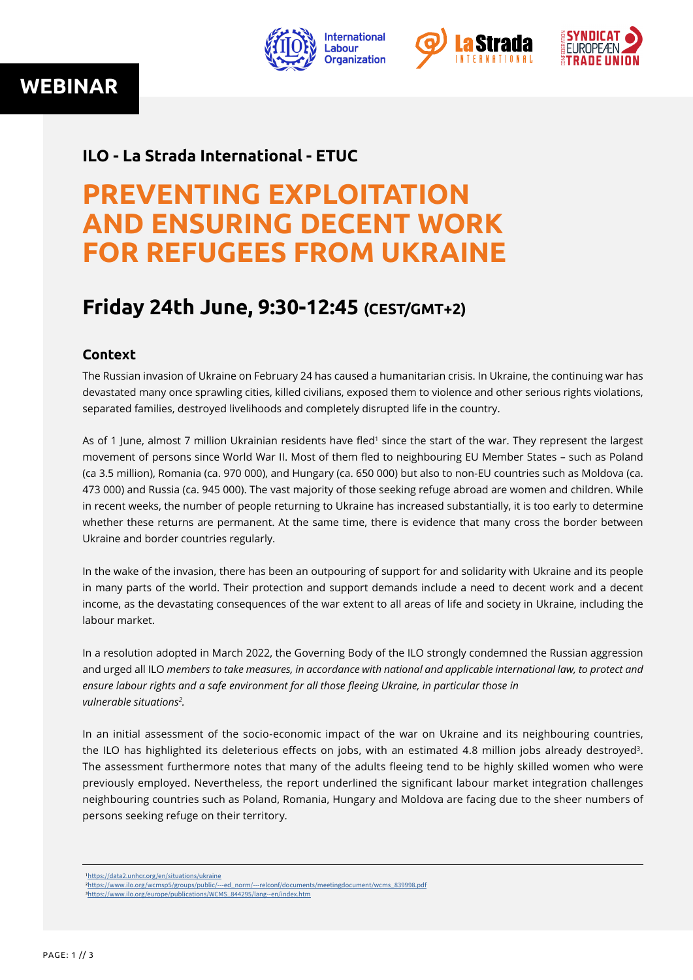**WEBINAR**







### **ILO - La Strada International - ETUC**

# **PREVENTING EXPLOITATION AND ENSURING DECENT WORK FOR REFUGEES FROM UKRAINE**

## **Friday 24th June, 9:30-12:45 (CEST/GMT+2)**

### **Context**

The Russian invasion of Ukraine on February 24 has caused a humanitarian crisis. In Ukraine, the continuing war has devastated many once sprawling cities, killed civilians, exposed them to violence and other serious rights violations, separated families, destroyed livelihoods and completely disrupted life in the country.

As of 1 June, almost 7 million Ukrainian residents have fled<sup>1</sup> since the start of the war. They represent the largest movement of persons since World War II. Most of them fled to neighbouring EU Member States – such as Poland (ca 3.5 million), Romania (ca. 970 000), and Hungary (ca. 650 000) but also to non-EU countries such as Moldova (ca. 473 000) and Russia (ca. 945 000). The vast majority of those seeking refuge abroad are women and children. While in recent weeks, the number of people returning to Ukraine has increased substantially, it is too early to determine whether these returns are permanent. At the same time, there is evidence that many cross the border between Ukraine and border countries regularly.

In the wake of the invasion, there has been an outpouring of support for and solidarity with Ukraine and its people in many parts of the world. Their protection and support demands include a need to decent work and a decent income, as the devastating consequences of the war extent to all areas of life and society in Ukraine, including the labour market.

In a resolution adopted in March 2022, the Governing Body of the ILO strongly condemned the Russian aggression and urged all ILO *members to take measures, in accordance with national and applicable international law, to protect and ensure labour rights and a safe environment for all those fleeing Ukraine, in particular those in vulnerable situations2 .*

In an initial assessment of the socio-economic impact of the war on Ukraine and its neighbouring countries, the ILO has highlighted its deleterious effects on jobs, with an estimated 4.8 million jobs already destroyed3. The assessment furthermore notes that many of the adults fleeing tend to be highly skilled women who were previously employed. Nevertheless, the report underlined the significant labour market integration challenges neighbouring countries such as Poland, Romania, Hungary and Moldova are facing due to the sheer numbers of persons seeking refuge on their territory.

 [1https://data2.unhcr.org/en/situations/ukraine](https://data2.unhcr.org/en/situations/ukraine) [2https://www.ilo.org/wcmsp5/groups/public/---ed\\_norm/---relconf/documents/meetingdocument/wcms\\_839998.pdf](https://www.ilo.org/wcmsp5/groups/public/---ed_norm/---relconf/documents/meetingdocument/wcms_839998.pdf) [3https://www.ilo.org/europe/publications/WCMS\\_844295/lang--en/index.htm](https://www.ilo.org/europe/publications/WCMS_844295/lang--en/index.htm)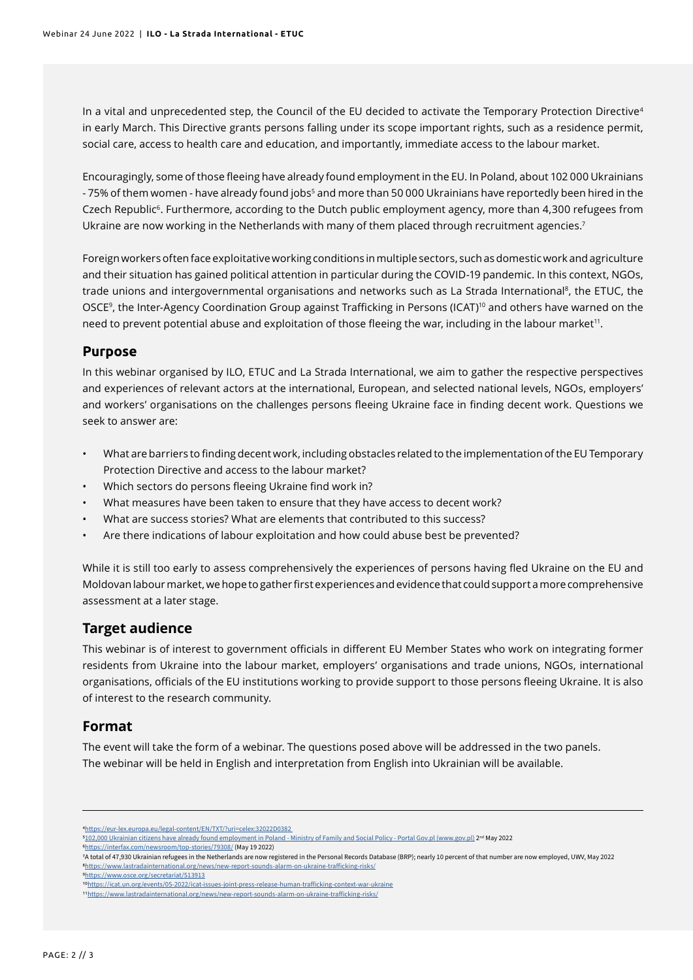In a vital and unprecedented step, the Council of the EU decided to activate the Temporary Protection Directive<sup>4</sup> in early March. This Directive grants persons falling under its scope important rights, such as a residence permit, social care, access to health care and education, and importantly, immediate access to the labour market.

Encouragingly, some of those fleeing have already found employment in the EU. In Poland, about 102 000 Ukrainians - 75% of them women - have already found jobs<sup>5</sup> and more than 50 000 Ukrainians have reportedly been hired in the Czech Republic<sup>6</sup>. Furthermore, according to the Dutch public employment agency, more than 4,300 refugees from Ukraine are now working in the Netherlands with many of them placed through recruitment agencies.<sup>7</sup>

Foreign workers often face exploitative working conditions in multiple sectors, such as domestic work and agriculture and their situation has gained political attention in particular during the COVID-19 pandemic. In this context, NGOs, trade unions and intergovernmental organisations and networks such as La Strada International<sup>8</sup>, the ETUC, the OSCE<sup>9</sup>, the Inter-Agency Coordination Group against Trafficking in Persons (ICAT)10 and others have warned on the need to prevent potential abuse and exploitation of those fleeing the war, including in the labour market<sup>11</sup>.

### **Purpose**

In this webinar organised by ILO, ETUC and La Strada International, we aim to gather the respective perspectives and experiences of relevant actors at the international, European, and selected national levels, NGOs, employers' and workers' organisations on the challenges persons fleeing Ukraine face in finding decent work. Questions we seek to answer are:

- What are barriers to finding decent work, including obstacles related to the implementation of the EU Temporary Protection Directive and access to the labour market?
- Which sectors do persons fleeing Ukraine find work in?
- What measures have been taken to ensure that they have access to decent work?
- What are success stories? What are elements that contributed to this success?
- Are there indications of labour exploitation and how could abuse best be prevented?

While it is still too early to assess comprehensively the experiences of persons having fled Ukraine on the EU and Moldovan labour market, we hope to gather first experiences and evidence that could support a more comprehensive assessment at a later stage.

### **Target audience**

This webinar is of interest to government officials in different EU Member States who work on integrating former residents from Ukraine into the labour market, employers' organisations and trade unions, NGOs, international organisations, officials of the EU institutions working to provide support to those persons fleeing Ukraine. It is also of interest to the research community.

### **Format**

The event will take the form of a webinar. The questions posed above will be addressed in the two panels. The webinar will be held in English and interpretation from English into Ukrainian will be available.

[4https://eur-lex.europa.eu/legal-content/EN/TXT/?uri=celex:32022D0382](https://eur-lex.europa.eu/legal-content/EN/TXT/?uri=celex:32022D0382 ) 

[6https://interfax.com/newsroom/top-stories/79308/](https://interfax.com/newsroom/top-stories/79308/) (May 19 2022)

1[0https://icat.un.org/events/05-2022/icat-issues-joint-press-release-human-trafficking-context-war-ukraine](https://icat.un.org/events/05-2022/icat-issues-joint-press-release-human-trafficking-context-war-ukraine)

1[1https://www.lastradainternational.org/news/new-report-sounds-alarm-on-ukraine-trafficking-risks/](https://www.lastradainternational.org/news/new-report-sounds-alarm-on-ukraine-trafficking-risks/)

[<sup>5102,000</sup> Ukrainian citizens have already found employment in Poland - Ministry of Family and Social Policy - Portal Gov.pl \(www.gov.pl\)](https://www.gov.pl/web/rodzina/zatrudnienie-w-polsce-znalazlo-juz-102-tys-obywateli-ukrainy) 2nd May 2022

<sup>7</sup>A total of 47,930 Ukrainian refugees in the Netherlands are now registered in the Personal Records Database (BRP); nearly 10 percent of that number are now employed, UWV, May 2022 [8https://www.lastradainternational.org/news/new-report-sounds-alarm-on-ukraine-trafficking-risks/](https://www.lastradainternational.org/news/new-report-sounds-alarm-on-ukraine-trafficking-risks/) [9https://www.osce.org/secretariat/513913](https://www.osce.org/secretariat/513913)